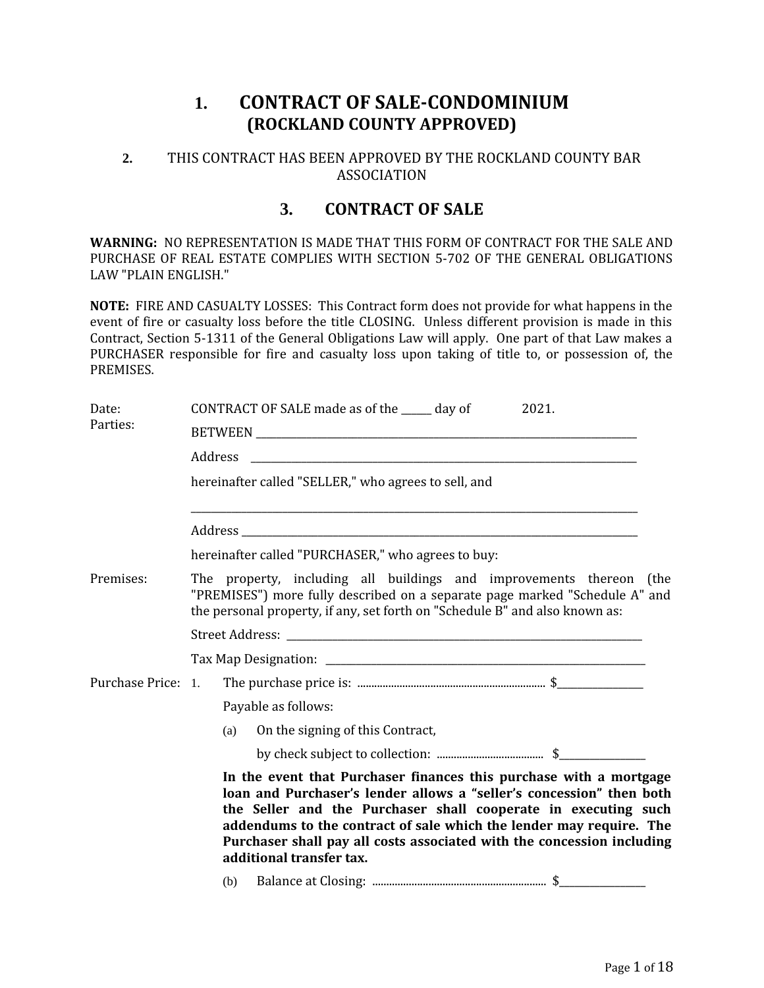## **1. CONTRACT OF SALE-CONDOMINIUM (ROCKLAND COUNTY APPROVED)**

### **2.** THIS CONTRACT HAS BEEN APPROVED BY THE ROCKLAND COUNTY BAR ASSOCIATION

### **3. CONTRACT OF SALE**

**WARNING:** NO REPRESENTATION IS MADE THAT THIS FORM OF CONTRACT FOR THE SALE AND PURCHASE OF REAL ESTATE COMPLIES WITH SECTION 5-702 OF THE GENERAL OBLIGATIONS LAW "PLAIN ENGLISH."

**NOTE:** FIRE AND CASUALTY LOSSES: This Contract form does not provide for what happens in the event of fire or casualty loss before the title CLOSING. Unless different provision is made in this Contract, Section 5-1311 of the General Obligations Law will apply. One part of that Law makes a PURCHASER responsible for fire and casualty loss upon taking of title to, or possession of, the PREMISES.

| Date:<br>Parties:  | CONTRACT OF SALE made as of the _____ day of<br>2021.                                                                                                                                                                                                                                                                                                                                     |  |  |  |  |  |  |
|--------------------|-------------------------------------------------------------------------------------------------------------------------------------------------------------------------------------------------------------------------------------------------------------------------------------------------------------------------------------------------------------------------------------------|--|--|--|--|--|--|
|                    | Address                                                                                                                                                                                                                                                                                                                                                                                   |  |  |  |  |  |  |
|                    | hereinafter called "SELLER," who agrees to sell, and                                                                                                                                                                                                                                                                                                                                      |  |  |  |  |  |  |
|                    |                                                                                                                                                                                                                                                                                                                                                                                           |  |  |  |  |  |  |
|                    | hereinafter called "PURCHASER," who agrees to buy:                                                                                                                                                                                                                                                                                                                                        |  |  |  |  |  |  |
| Premises:          | The property, including all buildings and improvements thereon (the<br>"PREMISES") more fully described on a separate page marked "Schedule A" and<br>the personal property, if any, set forth on "Schedule B" and also known as:                                                                                                                                                         |  |  |  |  |  |  |
|                    |                                                                                                                                                                                                                                                                                                                                                                                           |  |  |  |  |  |  |
|                    |                                                                                                                                                                                                                                                                                                                                                                                           |  |  |  |  |  |  |
| Purchase Price: 1. |                                                                                                                                                                                                                                                                                                                                                                                           |  |  |  |  |  |  |
|                    | Payable as follows:                                                                                                                                                                                                                                                                                                                                                                       |  |  |  |  |  |  |
|                    | On the signing of this Contract,<br>(a)                                                                                                                                                                                                                                                                                                                                                   |  |  |  |  |  |  |
|                    |                                                                                                                                                                                                                                                                                                                                                                                           |  |  |  |  |  |  |
|                    | In the event that Purchaser finances this purchase with a mortgage<br>loan and Purchaser's lender allows a "seller's concession" then both<br>the Seller and the Purchaser shall cooperate in executing such<br>addendums to the contract of sale which the lender may require. The<br>Purchaser shall pay all costs associated with the concession including<br>additional transfer tax. |  |  |  |  |  |  |
|                    | (b)                                                                                                                                                                                                                                                                                                                                                                                       |  |  |  |  |  |  |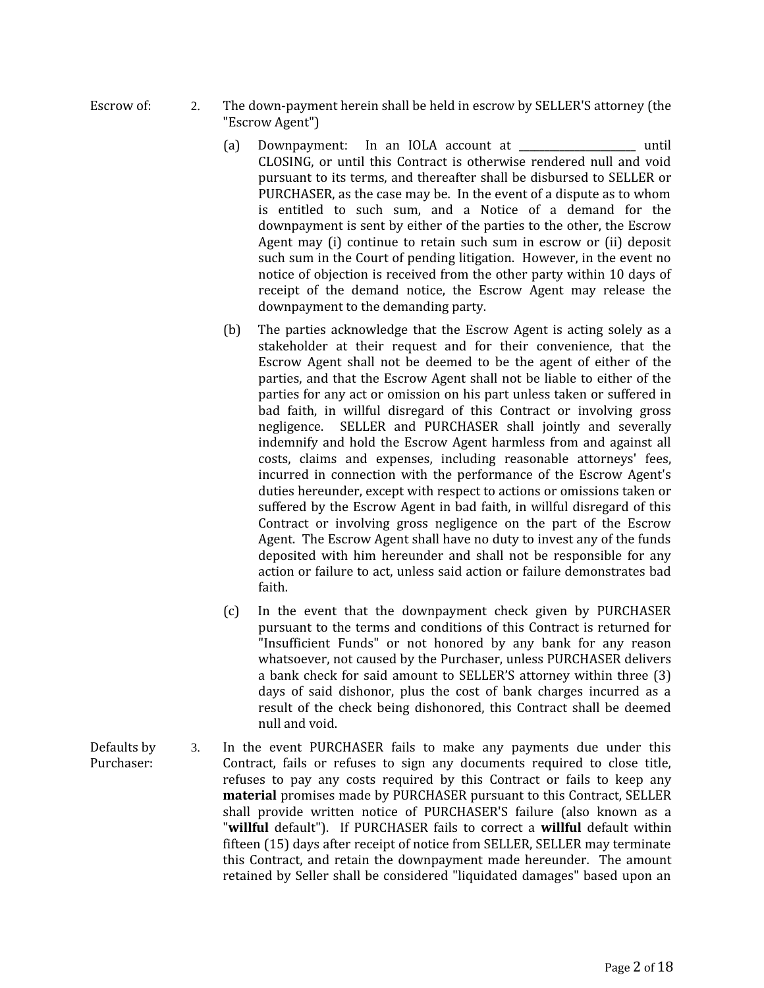- Escrow of: 2. The down-payment herein shall be held in escrow by SELLER'S attorney (the "Escrow Agent")
	- (a) Downpayment: In an IOLA account at The Unitil CLOSING, or until this Contract is otherwise rendered null and void pursuant to its terms, and thereafter shall be disbursed to SELLER or PURCHASER, as the case may be. In the event of a dispute as to whom is entitled to such sum, and a Notice of a demand for the downpayment is sent by either of the parties to the other, the Escrow Agent may (i) continue to retain such sum in escrow or (ii) deposit such sum in the Court of pending litigation. However, in the event no notice of objection is received from the other party within 10 days of receipt of the demand notice, the Escrow Agent may release the downpayment to the demanding party.
	- (b) The parties acknowledge that the Escrow Agent is acting solely as a stakeholder at their request and for their convenience, that the Escrow Agent shall not be deemed to be the agent of either of the parties, and that the Escrow Agent shall not be liable to either of the parties for any act or omission on his part unless taken or suffered in bad faith, in willful disregard of this Contract or involving gross negligence. SELLER and PURCHASER shall jointly and severally indemnify and hold the Escrow Agent harmless from and against all costs, claims and expenses, including reasonable attorneys' fees, incurred in connection with the performance of the Escrow Agent's duties hereunder, except with respect to actions or omissions taken or suffered by the Escrow Agent in bad faith, in willful disregard of this Contract or involving gross negligence on the part of the Escrow Agent. The Escrow Agent shall have no duty to invest any of the funds deposited with him hereunder and shall not be responsible for any action or failure to act, unless said action or failure demonstrates bad faith.
	- (c) In the event that the downpayment check given by PURCHASER pursuant to the terms and conditions of this Contract is returned for "Insufficient Funds" or not honored by any bank for any reason whatsoever, not caused by the Purchaser, unless PURCHASER delivers a bank check for said amount to SELLER'S attorney within three (3) days of said dishonor, plus the cost of bank charges incurred as a result of the check being dishonored, this Contract shall be deemed null and void.
- Defaults by Purchaser: 3. In the event PURCHASER fails to make any payments due under this Contract, fails or refuses to sign any documents required to close title, refuses to pay any costs required by this Contract or fails to keep any **material** promises made by PURCHASER pursuant to this Contract, SELLER shall provide written notice of PURCHASER'S failure (also known as a "**willful** default"). If PURCHASER fails to correct a **willful** default within fifteen (15) days after receipt of notice from SELLER, SELLER may terminate this Contract, and retain the downpayment made hereunder. The amount retained by Seller shall be considered "liquidated damages" based upon an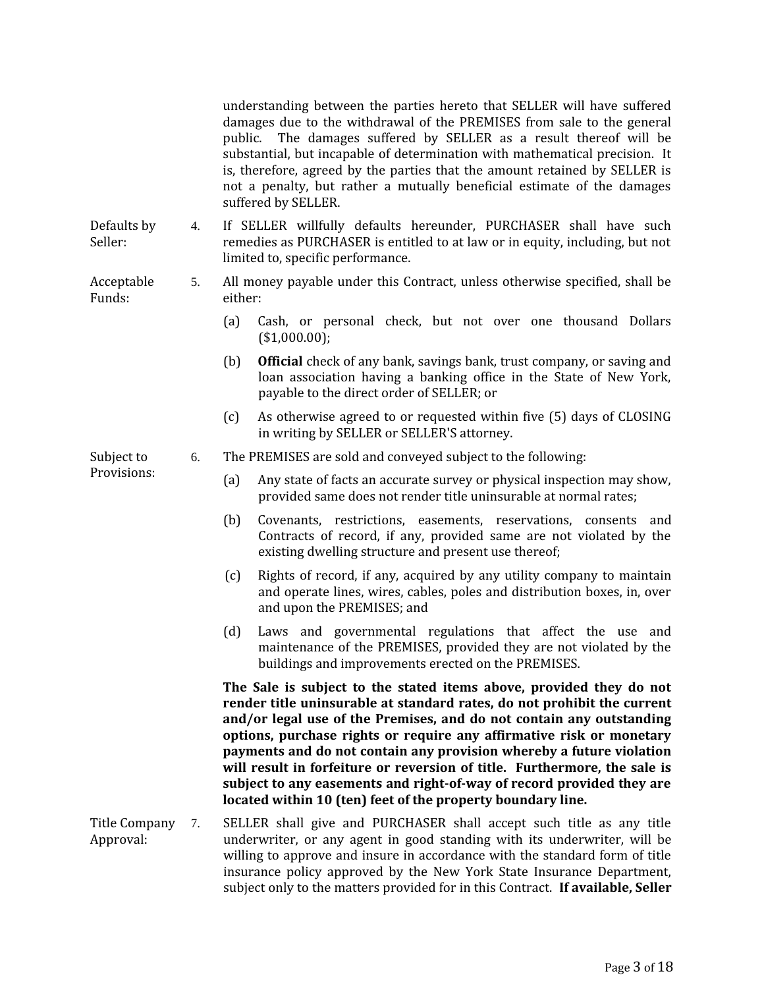understanding between the parties hereto that SELLER will have suffered damages due to the withdrawal of the PREMISES from sale to the general public. The damages suffered by SELLER as a result thereof will be substantial, but incapable of determination with mathematical precision. It is, therefore, agreed by the parties that the amount retained by SELLER is not a penalty, but rather a mutually beneficial estimate of the damages suffered by SELLER.

Defaults by Seller:

Acceptable

- 4. If SELLER willfully defaults hereunder, PURCHASER shall have such remedies as PURCHASER is entitled to at law or in equity, including, but not limited to, specific performance.
- Funds: 5. All money payable under this Contract, unless otherwise specified, shall be either:
	- (a) Cash, or personal check, but not over one thousand Dollars (\$1,000.00);
	- (b) **Official** check of any bank, savings bank, trust company, or saving and loan association having a banking office in the State of New York, payable to the direct order of SELLER; or
	- (c) As otherwise agreed to or requested within five (5) days of CLOSING in writing by SELLER or SELLER'S attorney.

Subject to Provisions:

- 6. The PREMISES are sold and conveyed subject to the following:
	- (a) Any state of facts an accurate survey or physical inspection may show, provided same does not render title uninsurable at normal rates;
	- (b) Covenants, restrictions, easements, reservations, consents and Contracts of record, if any, provided same are not violated by the existing dwelling structure and present use thereof;
	- (c) Rights of record, if any, acquired by any utility company to maintain and operate lines, wires, cables, poles and distribution boxes, in, over and upon the PREMISES; and
	- (d) Laws and governmental regulations that affect the use and maintenance of the PREMISES, provided they are not violated by the buildings and improvements erected on the PREMISES.

**The Sale is subject to the stated items above, provided they do not render title uninsurable at standard rates, do not prohibit the current and/or legal use of the Premises, and do not contain any outstanding options, purchase rights or require any affirmative risk or monetary payments and do not contain any provision whereby a future violation will result in forfeiture or reversion of title. Furthermore, the sale is subject to any easements and right-of-way of record provided they are located within 10 (ten) feet of the property boundary line.**

Title Company 7. Approval: SELLER shall give and PURCHASER shall accept such title as any title underwriter, or any agent in good standing with its underwriter, will be willing to approve and insure in accordance with the standard form of title insurance policy approved by the New York State Insurance Department, subject only to the matters provided for in this Contract. **If available, Seller**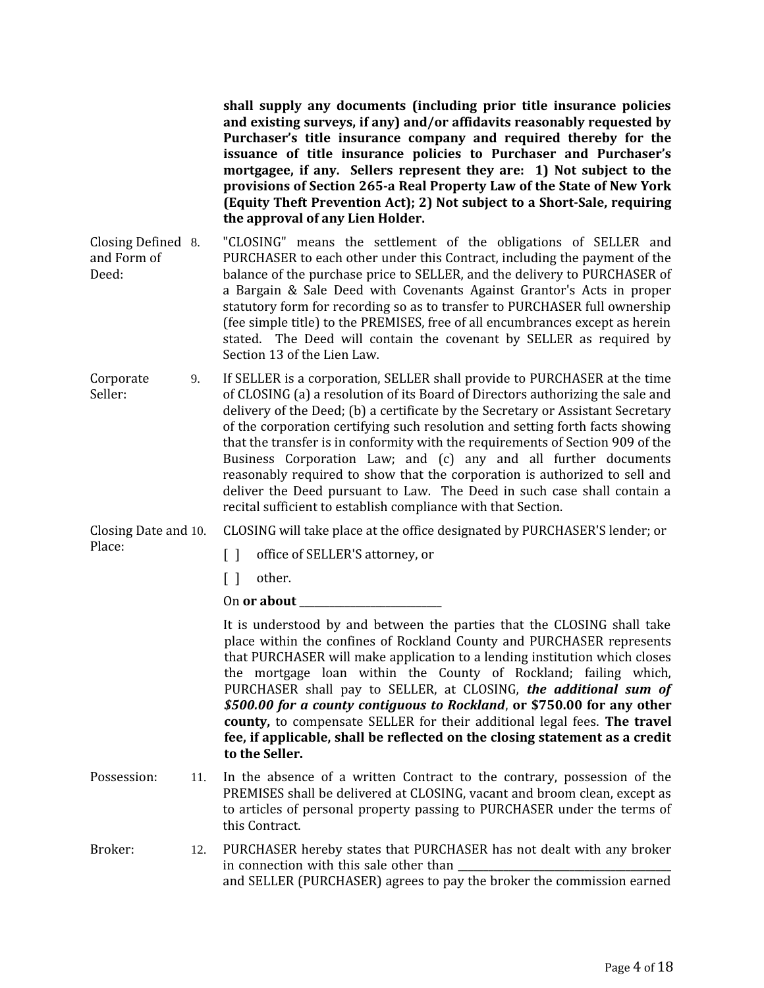**shall supply any documents (including prior title insurance policies and existing surveys, if any) and/or affidavits reasonably requested by Purchaser's title insurance company and required thereby for the issuance of title insurance policies to Purchaser and Purchaser's mortgagee, if any. Sellers represent they are: 1) Not subject to the provisions of Section 265-a Real Property Law of the State of New York (Equity Theft Prevention Act); 2) Not subject to a Short-Sale, requiring the approval of any Lien Holder.**

Closing Defined and Form of Deed: 8. "CLOSING" means the settlement of the obligations of SELLER and PURCHASER to each other under this Contract, including the payment of the balance of the purchase price to SELLER, and the delivery to PURCHASER of a Bargain & Sale Deed with Covenants Against Grantor's Acts in proper statutory form for recording so as to transfer to PURCHASER full ownership (fee simple title) to the PREMISES, free of all encumbrances except as herein stated. The Deed will contain the covenant by SELLER as required by Section 13 of the Lien Law.

Corporate Seller: 9. If SELLER is a corporation, SELLER shall provide to PURCHASER at the time of CLOSING (a) a resolution of its Board of Directors authorizing the sale and delivery of the Deed; (b) a certificate by the Secretary or Assistant Secretary of the corporation certifying such resolution and setting forth facts showing that the transfer is in conformity with the requirements of Section 909 of the Business Corporation Law; and (c) any and all further documents reasonably required to show that the corporation is authorized to sell and deliver the Deed pursuant to Law. The Deed in such case shall contain a recital sufficient to establish compliance with that Section.

Closing Date and 10. CLOSING will take place at the office designated by PURCHASER'S lender; or

[] office of SELLER'S attorney, or

[ ] other.

Place:

On **or about** 

It is understood by and between the parties that the CLOSING shall take place within the confines of Rockland County and PURCHASER represents that PURCHASER will make application to a lending institution which closes the mortgage loan within the County of Rockland; failing which, PURCHASER shall pay to SELLER, at CLOSING, *the additional sum of \$500.00 for a county contiguous to Rockland*, **or \$750.00 for any other county,** to compensate SELLER for their additional legal fees. **The travel fee, if applicable, shall be reflected on the closing statement as a credit to the Seller.**

- Possession: 11. In the absence of a written Contract to the contrary, possession of the PREMISES shall be delivered at CLOSING, vacant and broom clean, except as to articles of personal property passing to PURCHASER under the terms of this Contract.
- Broker: 12. PURCHASER hereby states that PURCHASER has not dealt with any broker in connection with this sale other than and SELLER (PURCHASER) agrees to pay the broker the commission earned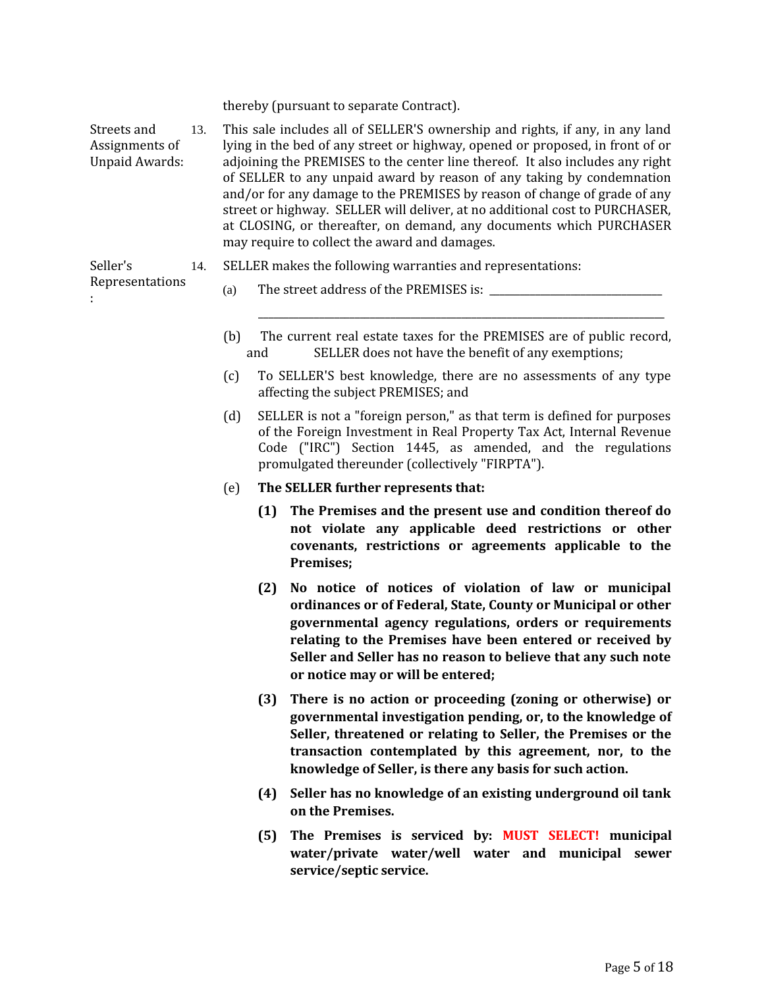thereby (pursuant to separate Contract).

Streets and Assignments of Unpaid Awards: 13. This sale includes all of SELLER'S ownership and rights, if any, in any land lying in the bed of any street or highway, opened or proposed, in front of or adjoining the PREMISES to the center line thereof. It also includes any right of SELLER to any unpaid award by reason of any taking by condemnation and/or for any damage to the PREMISES by reason of change of grade of any street or highway. SELLER will deliver, at no additional cost to PURCHASER, at CLOSING, or thereafter, on demand, any documents which PURCHASER may require to collect the award and damages.

Seller's 14. SELLER makes the following warranties and representations:

- Representations :
- (a) The street address of the PREMISES is:
- (b) The current real estate taxes for the PREMISES are of public record, and SELLER does not have the benefit of any exemptions;

\_\_\_\_\_\_\_\_\_\_\_\_\_\_\_\_\_\_\_\_\_\_\_\_\_\_\_\_\_\_\_\_\_\_\_\_\_\_\_\_\_\_\_\_\_\_\_\_\_\_\_\_\_\_\_\_\_\_\_\_\_\_\_\_\_\_\_\_\_\_\_\_\_\_\_\_\_\_\_\_

- (c) To SELLER'S best knowledge, there are no assessments of any type affecting the subject PREMISES; and
- (d) SELLER is not a "foreign person," as that term is defined for purposes of the Foreign Investment in Real Property Tax Act, Internal Revenue Code ("IRC") Section 1445, as amended, and the regulations promulgated thereunder (collectively "FIRPTA").
- (e) **The SELLER further represents that:**
	- **(1) The Premises and the present use and condition thereof do not violate any applicable deed restrictions or other covenants, restrictions or agreements applicable to the Premises;**
	- **(2) No notice of notices of violation of law or municipal ordinances or of Federal, State, County or Municipal or other governmental agency regulations, orders or requirements relating to the Premises have been entered or received by Seller and Seller has no reason to believe that any such note or notice may or will be entered;**
	- **(3) There is no action or proceeding (zoning or otherwise) or governmental investigation pending, or, to the knowledge of Seller, threatened or relating to Seller, the Premises or the transaction contemplated by this agreement, nor, to the knowledge of Seller, is there any basis for such action.**
	- **(4) Seller has no knowledge of an existing underground oil tank on the Premises.**
	- **(5) The Premises is serviced by: MUST SELECT! municipal water/private water/well water and municipal sewer service/septic service.**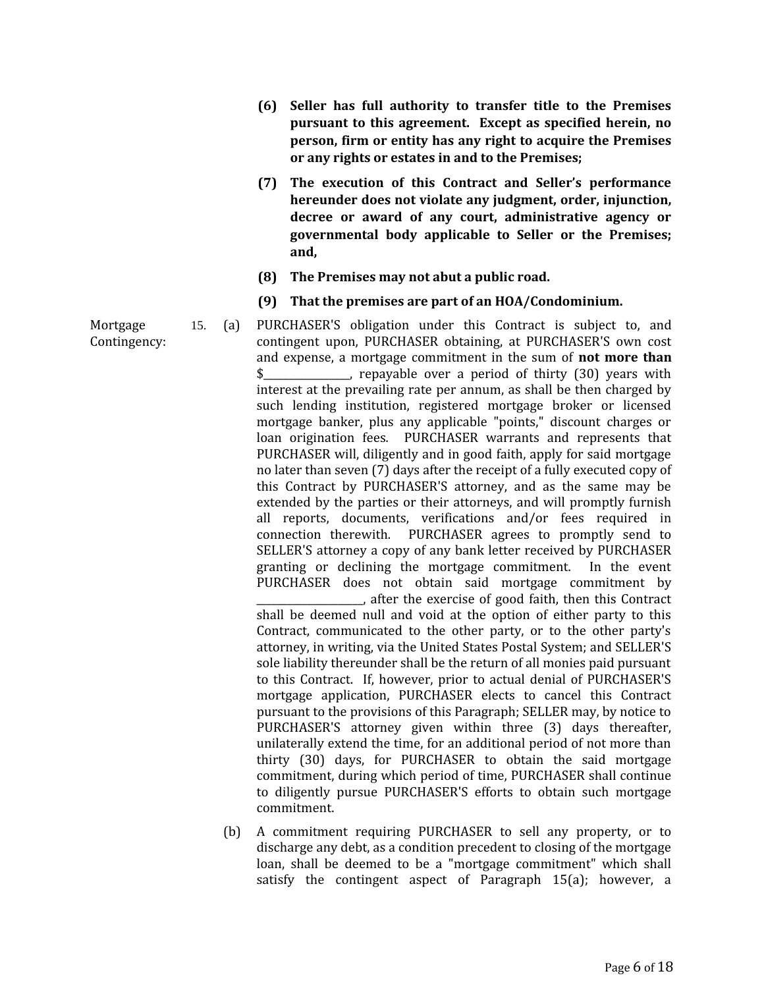- **(6) Seller has full authority to transfer title to the Premises pursuant to this agreement. Except as specified herein, no person, firm or entity has any right to acquire the Premises or any rights or estates in and to the Premises;**
- **(7) The execution of this Contract and Seller's performance hereunder does not violate any judgment, order, injunction, decree or award of any court, administrative agency or governmental body applicable to Seller or the Premises; and,**
- **(8) The Premises may not abut a public road.**
- **(9) That the premises are part of an HOA/Condominium.**
- 15. (a) PURCHASER'S obligation under this Contract is subject to, and contingent upon, PURCHASER obtaining, at PURCHASER'S own cost and expense, a mortgage commitment in the sum of **not more than** \$\_\_\_\_\_\_\_\_\_\_\_\_\_\_\_\_\_, repayable over a period of thirty (30) years with interest at the prevailing rate per annum, as shall be then charged by such lending institution, registered mortgage broker or licensed mortgage banker, plus any applicable "points," discount charges or loan origination fees. PURCHASER warrants and represents that PURCHASER will, diligently and in good faith, apply for said mortgage no later than seven (7) days after the receipt of a fully executed copy of this Contract by PURCHASER'S attorney, and as the same may be extended by the parties or their attorneys, and will promptly furnish all reports, documents, verifications and/or fees required in connection therewith. PURCHASER agrees to promptly send to SELLER'S attorney a copy of any bank letter received by PURCHASER granting or declining the mortgage commitment. In the event PURCHASER does not obtain said mortgage commitment by \_\_\_\_\_\_\_\_\_\_\_\_\_\_\_\_\_\_\_\_\_, after the exercise of good faith, then this Contract shall be deemed null and void at the option of either party to this Contract, communicated to the other party, or to the other party's attorney, in writing, via the United States Postal System; and SELLER'S

commitment, during which period of time, PURCHASER shall continue to diligently pursue PURCHASER'S efforts to obtain such mortgage commitment. (b) A commitment requiring PURCHASER to sell any property, or to discharge any debt, as a condition precedent to closing of the mortgage loan, shall be deemed to be a "mortgage commitment" which shall satisfy the contingent aspect of Paragraph 15(a); however, a

sole liability thereunder shall be the return of all monies paid pursuant to this Contract. If, however, prior to actual denial of PURCHASER'S mortgage application, PURCHASER elects to cancel this Contract pursuant to the provisions of this Paragraph; SELLER may, by notice to PURCHASER'S attorney given within three (3) days thereafter, unilaterally extend the time, for an additional period of not more than thirty (30) days, for PURCHASER to obtain the said mortgage

Mortgage Contingency: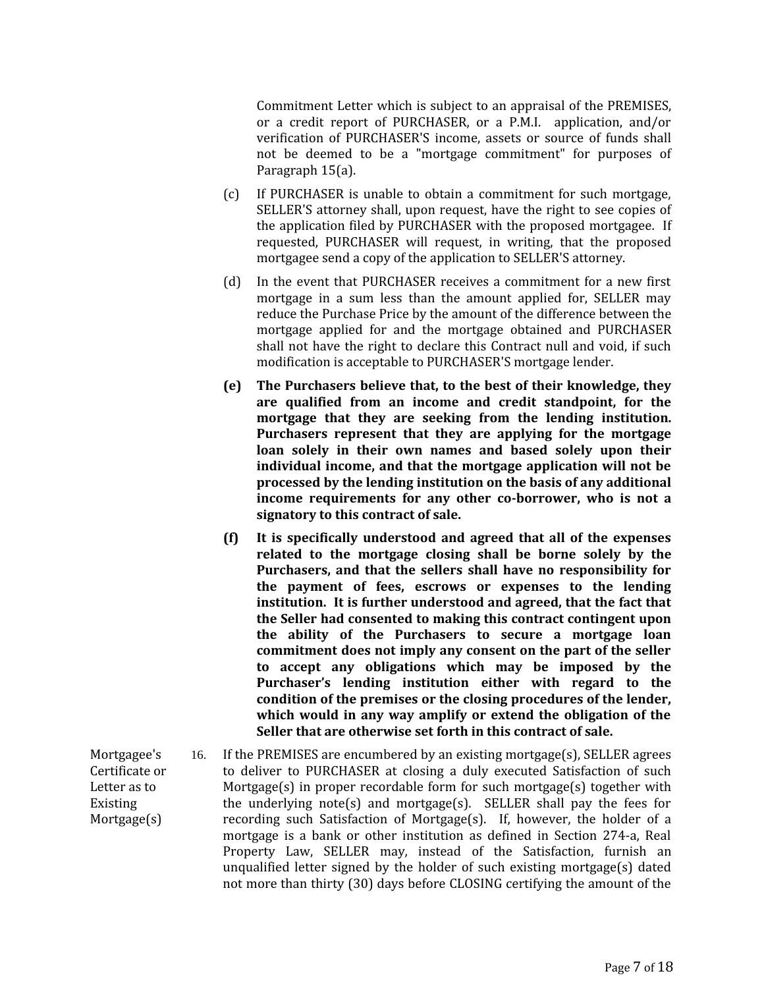Commitment Letter which is subject to an appraisal of the PREMISES, or a credit report of PURCHASER, or a P.M.I. application, and/or verification of PURCHASER'S income, assets or source of funds shall not be deemed to be a "mortgage commitment" for purposes of Paragraph 15(a).

- (c) If PURCHASER is unable to obtain a commitment for such mortgage, SELLER'S attorney shall, upon request, have the right to see copies of the application filed by PURCHASER with the proposed mortgagee. If requested, PURCHASER will request, in writing, that the proposed mortgagee send a copy of the application to SELLER'S attorney.
- (d) In the event that PURCHASER receives a commitment for a new first mortgage in a sum less than the amount applied for, SELLER may reduce the Purchase Price by the amount of the difference between the mortgage applied for and the mortgage obtained and PURCHASER shall not have the right to declare this Contract null and void, if such modification is acceptable to PURCHASER'S mortgage lender.
- **(e) The Purchasers believe that, to the best of their knowledge, they are qualified from an income and credit standpoint, for the mortgage that they are seeking from the lending institution. Purchasers represent that they are applying for the mortgage loan solely in their own names and based solely upon their individual income, and that the mortgage application will not be processed by the lending institution on the basis of any additional income requirements for any other co-borrower, who is not a signatory to this contract of sale.**
- **(f) It is specifically understood and agreed that all of the expenses related to the mortgage closing shall be borne solely by the Purchasers, and that the sellers shall have no responsibility for the payment of fees, escrows or expenses to the lending institution. It is further understood and agreed, that the fact that the Seller had consented to making this contract contingent upon the ability of the Purchasers to secure a mortgage loan commitment does not imply any consent on the part of the seller to accept any obligations which may be imposed by the Purchaser's lending institution either with regard to the condition of the premises or the closing procedures of the lender, which would in any way amplify or extend the obligation of the Seller that are otherwise set forth in this contract of sale.**
- Mortgagee's Certificate or Letter as to Existing Mortgage(s) 16. If the PREMISES are encumbered by an existing mortgage(s), SELLER agrees to deliver to PURCHASER at closing a duly executed Satisfaction of such Mortgage(s) in proper recordable form for such mortgage(s) together with the underlying note(s) and mortgage(s). SELLER shall pay the fees for recording such Satisfaction of Mortgage(s). If, however, the holder of a mortgage is a bank or other institution as defined in Section 274-a, Real Property Law, SELLER may, instead of the Satisfaction, furnish an unqualified letter signed by the holder of such existing mortgage(s) dated not more than thirty (30) days before CLOSING certifying the amount of the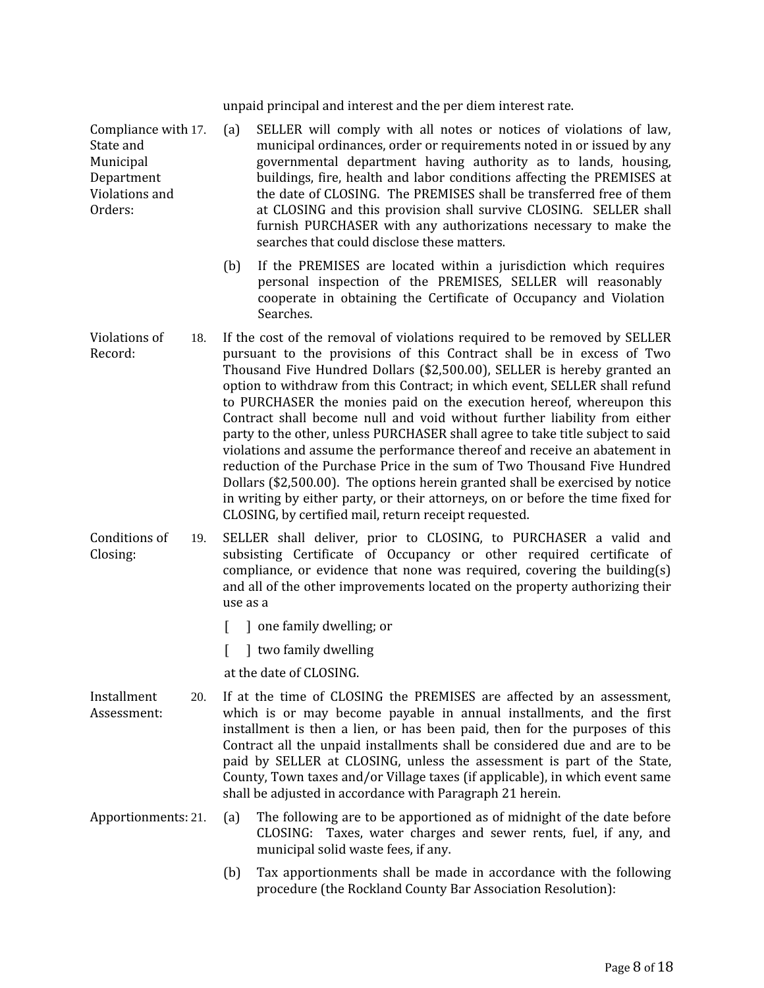unpaid principal and interest and the per diem interest rate.

Compliance with 17. State and Municipal Department Violations and Orders:

- (a) SELLER will comply with all notes or notices of violations of law, municipal ordinances, order or requirements noted in or issued by any governmental department having authority as to lands, housing, buildings, fire, health and labor conditions affecting the PREMISES at the date of CLOSING. The PREMISES shall be transferred free of them at CLOSING and this provision shall survive CLOSING. SELLER shall furnish PURCHASER with any authorizations necessary to make the searches that could disclose these matters.
	- (b) If the PREMISES are located within a jurisdiction which requires personal inspection of the PREMISES, SELLER will reasonably cooperate in obtaining the Certificate of Occupancy and Violation Searches.
- Violations of Record: 18. If the cost of the removal of violations required to be removed by SELLER pursuant to the provisions of this Contract shall be in excess of Two Thousand Five Hundred Dollars (\$2,500.00), SELLER is hereby granted an option to withdraw from this Contract; in which event, SELLER shall refund to PURCHASER the monies paid on the execution hereof, whereupon this Contract shall become null and void without further liability from either party to the other, unless PURCHASER shall agree to take title subject to said violations and assume the performance thereof and receive an abatement in reduction of the Purchase Price in the sum of Two Thousand Five Hundred Dollars (\$2,500.00). The options herein granted shall be exercised by notice in writing by either party, or their attorneys, on or before the time fixed for CLOSING, by certified mail, return receipt requested.

Conditions of Closing: 19. SELLER shall deliver, prior to CLOSING, to PURCHASER a valid and subsisting Certificate of Occupancy or other required certificate of compliance, or evidence that none was required, covering the building(s) and all of the other improvements located on the property authorizing their use as a

- [ ] one family dwelling; or
- [ ] two family dwelling
- at the date of CLOSING.
- Installment Assessment: 20. If at the time of CLOSING the PREMISES are affected by an assessment, which is or may become payable in annual installments, and the first installment is then a lien, or has been paid, then for the purposes of this Contract all the unpaid installments shall be considered due and are to be paid by SELLER at CLOSING, unless the assessment is part of the State, County, Town taxes and/or Village taxes (if applicable), in which event same shall be adjusted in accordance with Paragraph 21 herein.
- Apportionments: 21. (a) The following are to be apportioned as of midnight of the date before CLOSING: Taxes, water charges and sewer rents, fuel, if any, and municipal solid waste fees, if any.
	- (b) Tax apportionments shall be made in accordance with the following procedure (the Rockland County Bar Association Resolution):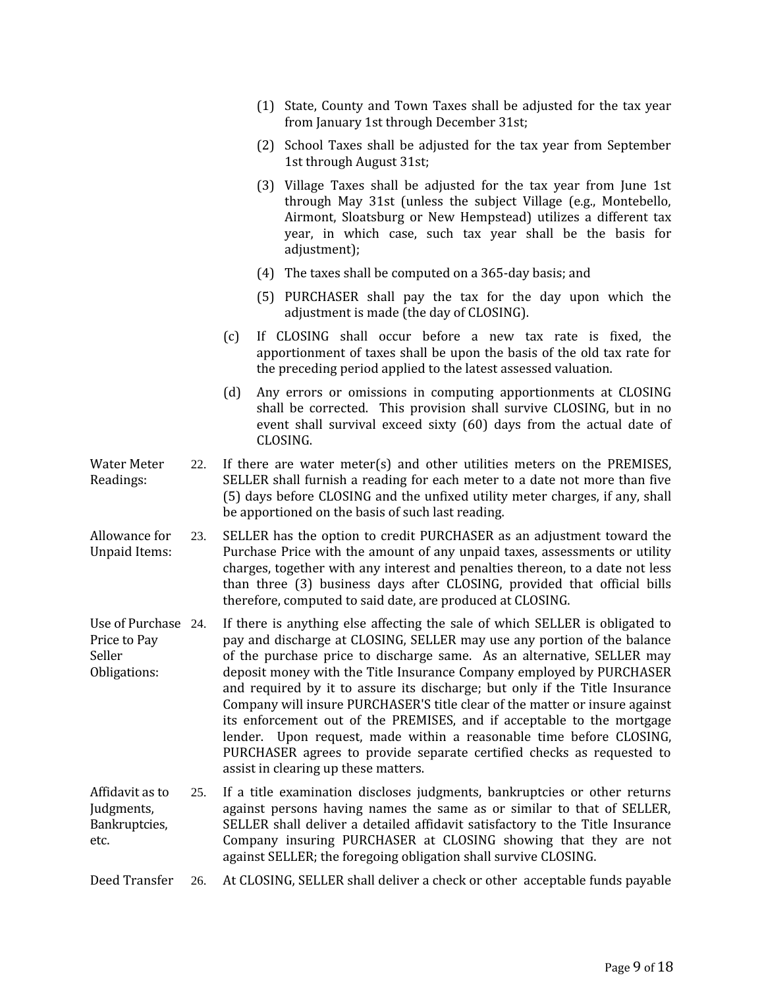|  | (1) State, County and Town Taxes shall be adjusted for the tax year |  |  |  |  |
|--|---------------------------------------------------------------------|--|--|--|--|
|  | from January 1st through December 31st;                             |  |  |  |  |

- (2) School Taxes shall be adjusted for the tax year from September 1st through August 31st;
- (3) Village Taxes shall be adjusted for the tax year from June 1st through May 31st (unless the subject Village (e.g., Montebello, Airmont, Sloatsburg or New Hempstead) utilizes a different tax year, in which case, such tax year shall be the basis for adjustment);
- (4) The taxes shall be computed on a 365-day basis; and
- (5) PURCHASER shall pay the tax for the day upon which the adjustment is made (the day of CLOSING).
- (c) If CLOSING shall occur before a new tax rate is fixed, the apportionment of taxes shall be upon the basis of the old tax rate for the preceding period applied to the latest assessed valuation.
- (d) Any errors or omissions in computing apportionments at CLOSING shall be corrected. This provision shall survive CLOSING, but in no event shall survival exceed sixty (60) days from the actual date of CLOSING.
- Water Meter Readings: 22. If there are water meter(s) and other utilities meters on the PREMISES, SELLER shall furnish a reading for each meter to a date not more than five (5) days before CLOSING and the unfixed utility meter charges, if any, shall be apportioned on the basis of such last reading.
- Allowance for Unpaid Items: 23. SELLER has the option to credit PURCHASER as an adjustment toward the Purchase Price with the amount of any unpaid taxes, assessments or utility charges, together with any interest and penalties thereon, to a date not less than three (3) business days after CLOSING, provided that official bills therefore, computed to said date, are produced at CLOSING.
- Use of Purchase 24. Price to Pay Seller Obligations: If there is anything else affecting the sale of which SELLER is obligated to pay and discharge at CLOSING, SELLER may use any portion of the balance of the purchase price to discharge same. As an alternative, SELLER may deposit money with the Title Insurance Company employed by PURCHASER and required by it to assure its discharge; but only if the Title Insurance Company will insure PURCHASER'S title clear of the matter or insure against its enforcement out of the PREMISES, and if acceptable to the mortgage lender. Upon request, made within a reasonable time before CLOSING, PURCHASER agrees to provide separate certified checks as requested to assist in clearing up these matters.
- Affidavit as to Judgments, Bankruptcies, etc. 25. If a title examination discloses judgments, bankruptcies or other returns against persons having names the same as or similar to that of SELLER, SELLER shall deliver a detailed affidavit satisfactory to the Title Insurance Company insuring PURCHASER at CLOSING showing that they are not against SELLER; the foregoing obligation shall survive CLOSING.

Deed Transfer 26. At CLOSING, SELLER shall deliver a check or other acceptable funds payable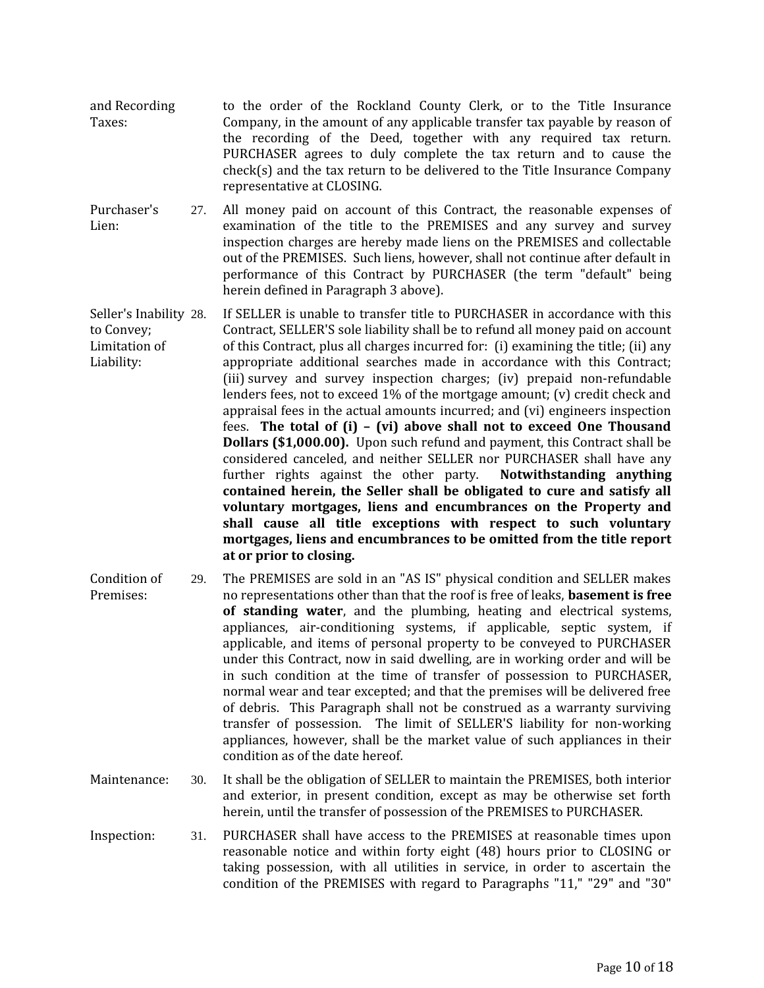- and Recording Taxes: to the order of the Rockland County Clerk, or to the Title Insurance Company, in the amount of any applicable transfer tax payable by reason of the recording of the Deed, together with any required tax return. PURCHASER agrees to duly complete the tax return and to cause the check(s) and the tax return to be delivered to the Title Insurance Company representative at CLOSING.
- Purchaser's Lien: 27. All money paid on account of this Contract, the reasonable expenses of examination of the title to the PREMISES and any survey and survey inspection charges are hereby made liens on the PREMISES and collectable out of the PREMISES. Such liens, however, shall not continue after default in performance of this Contract by PURCHASER (the term "default" being herein defined in Paragraph 3 above).
- Seller's Inability 28. to Convey; Limitation of Liability: 28. If SELLER is unable to transfer title to PURCHASER in accordance with this Contract, SELLER'S sole liability shall be to refund all money paid on account of this Contract, plus all charges incurred for: (i) examining the title; (ii) any appropriate additional searches made in accordance with this Contract; (iii) survey and survey inspection charges; (iv) prepaid non-refundable lenders fees, not to exceed 1% of the mortgage amount; (v) credit check and appraisal fees in the actual amounts incurred; and (vi) engineers inspection fees. **The total of (i) – (vi) above shall not to exceed One Thousand Dollars (\$1,000.00).** Upon such refund and payment, this Contract shall be considered canceled, and neither SELLER nor PURCHASER shall have any further rights against the other party. **Notwithstanding anything contained herein, the Seller shall be obligated to cure and satisfy all voluntary mortgages, liens and encumbrances on the Property and shall cause all title exceptions with respect to such voluntary mortgages, liens and encumbrances to be omitted from the title report at or prior to closing.**
- Condition of Premises: 29. The PREMISES are sold in an "AS IS" physical condition and SELLER makes no representations other than that the roof is free of leaks, **basement is free of standing water**, and the plumbing, heating and electrical systems, appliances, air-conditioning systems, if applicable, septic system, if applicable, and items of personal property to be conveyed to PURCHASER under this Contract, now in said dwelling, are in working order and will be in such condition at the time of transfer of possession to PURCHASER, normal wear and tear excepted; and that the premises will be delivered free of debris. This Paragraph shall not be construed as a warranty surviving transfer of possession. The limit of SELLER'S liability for non-working appliances, however, shall be the market value of such appliances in their condition as of the date hereof.
- Maintenance: 30. It shall be the obligation of SELLER to maintain the PREMISES, both interior and exterior, in present condition, except as may be otherwise set forth herein, until the transfer of possession of the PREMISES to PURCHASER.
- Inspection: 31. PURCHASER shall have access to the PREMISES at reasonable times upon reasonable notice and within forty eight (48) hours prior to CLOSING or taking possession, with all utilities in service, in order to ascertain the condition of the PREMISES with regard to Paragraphs "11," "29" and "30"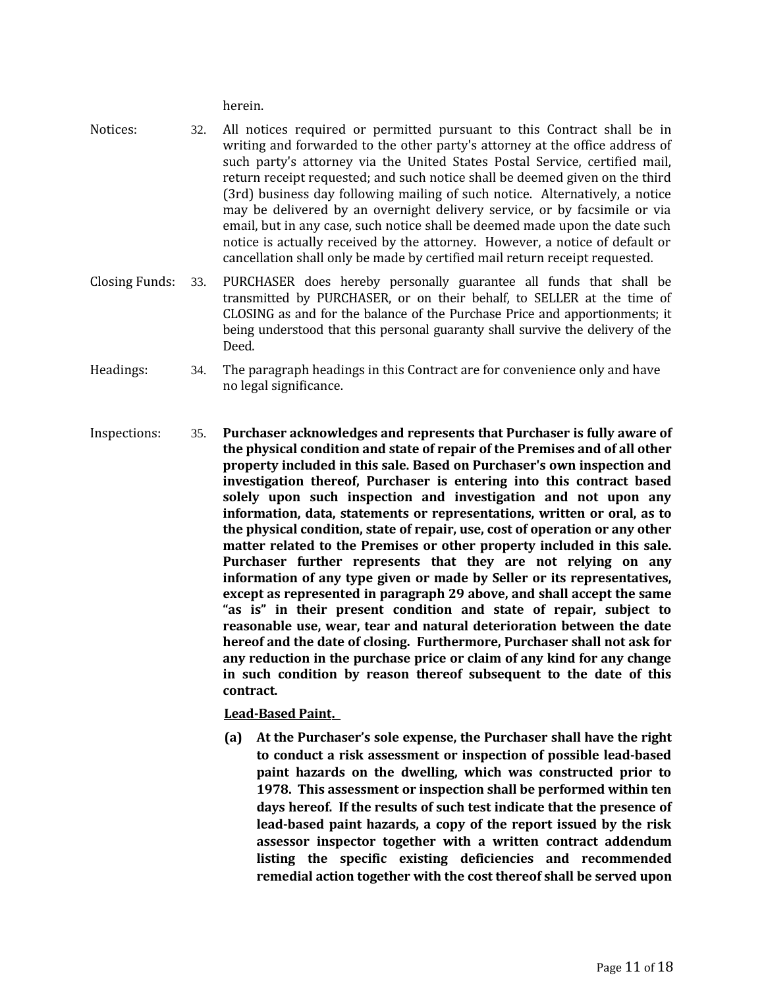herein.

- Notices: 32. All notices required or permitted pursuant to this Contract shall be in writing and forwarded to the other party's attorney at the office address of such party's attorney via the United States Postal Service, certified mail, return receipt requested; and such notice shall be deemed given on the third (3rd) business day following mailing of such notice. Alternatively, a notice may be delivered by an overnight delivery service, or by facsimile or via email, but in any case, such notice shall be deemed made upon the date such notice is actually received by the attorney. However, a notice of default or cancellation shall only be made by certified mail return receipt requested.
- Closing Funds: 33. PURCHASER does hereby personally guarantee all funds that shall be transmitted by PURCHASER, or on their behalf, to SELLER at the time of CLOSING as and for the balance of the Purchase Price and apportionments; it being understood that this personal guaranty shall survive the delivery of the Deed.
- Headings: 34. The paragraph headings in this Contract are for convenience only and have no legal significance.
- Inspections: 35. **Purchaser acknowledges and represents that Purchaser is fully aware of the physical condition and state of repair of the Premises and of all other property included in this sale. Based on Purchaser's own inspection and investigation thereof, Purchaser is entering into this contract based solely upon such inspection and investigation and not upon any information, data, statements or representations, written or oral, as to the physical condition, state of repair, use, cost of operation or any other matter related to the Premises or other property included in this sale. Purchaser further represents that they are not relying on any information of any type given or made by Seller or its representatives, except as represented in paragraph 29 above, and shall accept the same "as is" in their present condition and state of repair, subject to reasonable use, wear, tear and natural deterioration between the date hereof and the date of closing. Furthermore, Purchaser shall not ask for any reduction in the purchase price or claim of any kind for any change in such condition by reason thereof subsequent to the date of this contract.**

 **Lead-Based Paint.** 

**(a) At the Purchaser's sole expense, the Purchaser shall have the right to conduct a risk assessment or inspection of possible lead-based paint hazards on the dwelling, which was constructed prior to 1978. This assessment or inspection shall be performed within ten days hereof. If the results of such test indicate that the presence of lead-based paint hazards, a copy of the report issued by the risk assessor inspector together with a written contract addendum listing the specific existing deficiencies and recommended remedial action together with the cost thereof shall be served upon**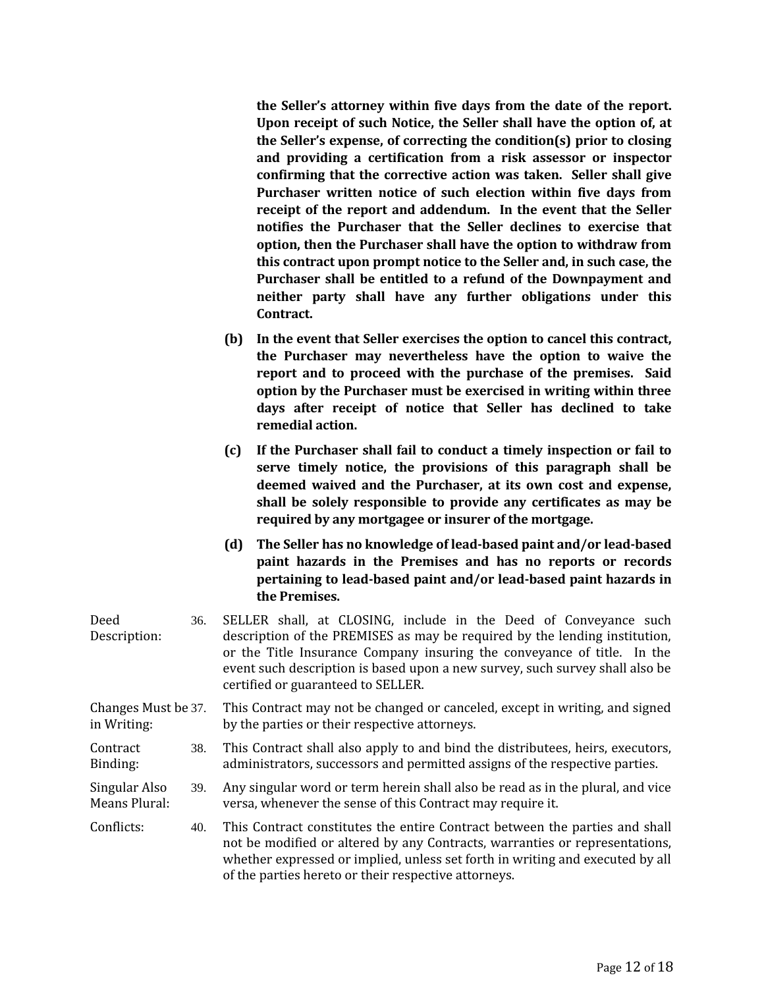**the Seller's attorney within five days from the date of the report. Upon receipt of such Notice, the Seller shall have the option of, at the Seller's expense, of correcting the condition(s) prior to closing and providing a certification from a risk assessor or inspector confirming that the corrective action was taken. Seller shall give Purchaser written notice of such election within five days from receipt of the report and addendum. In the event that the Seller notifies the Purchaser that the Seller declines to exercise that option, then the Purchaser shall have the option to withdraw from this contract upon prompt notice to the Seller and, in such case, the Purchaser shall be entitled to a refund of the Downpayment and neither party shall have any further obligations under this Contract.**

- **(b) In the event that Seller exercises the option to cancel this contract, the Purchaser may nevertheless have the option to waive the report and to proceed with the purchase of the premises. Said option by the Purchaser must be exercised in writing within three days after receipt of notice that Seller has declined to take remedial action.**
- **(c) If the Purchaser shall fail to conduct a timely inspection or fail to serve timely notice, the provisions of this paragraph shall be deemed waived and the Purchaser, at its own cost and expense, shall be solely responsible to provide any certificates as may be required by any mortgagee or insurer of the mortgage.**
- **(d) The Seller has no knowledge of lead-based paint and/or lead-based paint hazards in the Premises and has no reports or records pertaining to lead-based paint and/or lead-based paint hazards in the Premises.**

| Deed<br>Description:               | 36. | SELLER shall, at CLOSING, include in the Deed of Conveyance such<br>description of the PREMISES as may be required by the lending institution,<br>or the Title Insurance Company insuring the conveyance of title. In the<br>event such description is based upon a new survey, such survey shall also be<br>certified or guaranteed to SELLER. |  |  |  |  |
|------------------------------------|-----|-------------------------------------------------------------------------------------------------------------------------------------------------------------------------------------------------------------------------------------------------------------------------------------------------------------------------------------------------|--|--|--|--|
| Changes Must be 37.<br>in Writing: |     | This Contract may not be changed or canceled, except in writing, and signed<br>by the parties or their respective attorneys.                                                                                                                                                                                                                    |  |  |  |  |
| Contract<br>Binding:               | 38. | This Contract shall also apply to and bind the distributees, heirs, executors,<br>administrators, successors and permitted assigns of the respective parties.                                                                                                                                                                                   |  |  |  |  |
| Singular Also<br>Means Plural:     | 39. | Any singular word or term herein shall also be read as in the plural, and vice<br>versa, whenever the sense of this Contract may require it.                                                                                                                                                                                                    |  |  |  |  |
| Conflicts:                         | 40. | This Contract constitutes the entire Contract between the parties and shall<br>not be modified or altered by any Contracts, warranties or representations,<br>whether expressed or implied, unless set forth in writing and executed by all<br>of the parties hereto or their respective attorneys.                                             |  |  |  |  |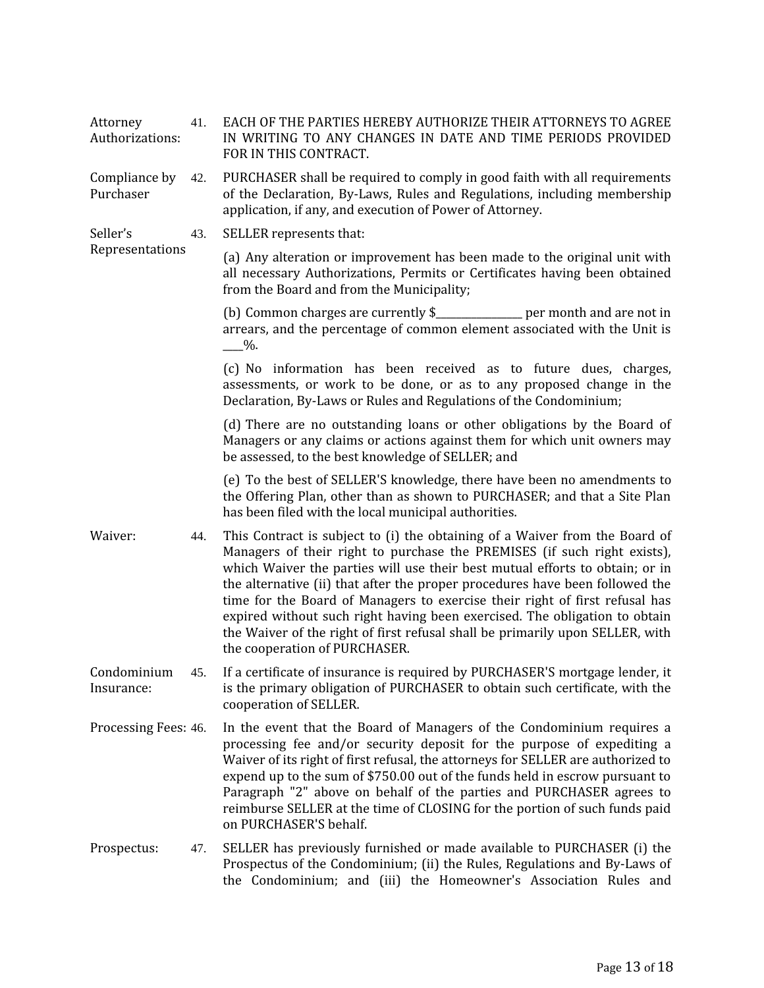| Attorney<br>Authorizations: | 41. | EACH OF THE PARTIES HEREBY AUTHORIZE THEIR ATTORNEYS TO AGREE<br>IN WRITING TO ANY CHANGES IN DATE AND TIME PERIODS PROVIDED<br>FOR IN THIS CONTRACT.                                                                                                                                                                                                                                                                                                                                                                                                                                                  |
|-----------------------------|-----|--------------------------------------------------------------------------------------------------------------------------------------------------------------------------------------------------------------------------------------------------------------------------------------------------------------------------------------------------------------------------------------------------------------------------------------------------------------------------------------------------------------------------------------------------------------------------------------------------------|
| Compliance by<br>Purchaser  | 42. | PURCHASER shall be required to comply in good faith with all requirements<br>of the Declaration, By-Laws, Rules and Regulations, including membership<br>application, if any, and execution of Power of Attorney.                                                                                                                                                                                                                                                                                                                                                                                      |
| Seller's                    | 43. | SELLER represents that:                                                                                                                                                                                                                                                                                                                                                                                                                                                                                                                                                                                |
| Representations             |     | (a) Any alteration or improvement has been made to the original unit with<br>all necessary Authorizations, Permits or Certificates having been obtained<br>from the Board and from the Municipality;                                                                                                                                                                                                                                                                                                                                                                                                   |
|                             |     | (b) Common charges are currently \$____________ per month and are not in<br>arrears, and the percentage of common element associated with the Unit is<br>$-$ %.                                                                                                                                                                                                                                                                                                                                                                                                                                        |
|                             |     | (c) No information has been received as to future dues, charges,<br>assessments, or work to be done, or as to any proposed change in the<br>Declaration, By-Laws or Rules and Regulations of the Condominium;                                                                                                                                                                                                                                                                                                                                                                                          |
|                             |     | (d) There are no outstanding loans or other obligations by the Board of<br>Managers or any claims or actions against them for which unit owners may<br>be assessed, to the best knowledge of SELLER; and                                                                                                                                                                                                                                                                                                                                                                                               |
|                             |     | (e) To the best of SELLER'S knowledge, there have been no amendments to<br>the Offering Plan, other than as shown to PURCHASER; and that a Site Plan<br>has been filed with the local municipal authorities.                                                                                                                                                                                                                                                                                                                                                                                           |
| Waiver:                     | 44. | This Contract is subject to (i) the obtaining of a Waiver from the Board of<br>Managers of their right to purchase the PREMISES (if such right exists),<br>which Waiver the parties will use their best mutual efforts to obtain; or in<br>the alternative (ii) that after the proper procedures have been followed the<br>time for the Board of Managers to exercise their right of first refusal has<br>expired without such right having been exercised. The obligation to obtain<br>the Waiver of the right of first refusal shall be primarily upon SELLER, with<br>the cooperation of PURCHASER. |
| Condominium<br>Insurance:   | 45. | If a certificate of insurance is required by PURCHASER'S mortgage lender, it<br>is the primary obligation of PURCHASER to obtain such certificate, with the<br>cooperation of SELLER.                                                                                                                                                                                                                                                                                                                                                                                                                  |
| Processing Fees: 46.        |     | In the event that the Board of Managers of the Condominium requires a<br>processing fee and/or security deposit for the purpose of expediting a<br>Waiver of its right of first refusal, the attorneys for SELLER are authorized to<br>expend up to the sum of \$750.00 out of the funds held in escrow pursuant to<br>Paragraph "2" above on behalf of the parties and PURCHASER agrees to<br>reimburse SELLER at the time of CLOSING for the portion of such funds paid<br>on PURCHASER'S behalf.                                                                                                    |
| Prospectus:                 | 47. | SELLER has previously furnished or made available to PURCHASER (i) the<br>Prospectus of the Condominium; (ii) the Rules, Regulations and By-Laws of<br>the Condominium; and (iii) the Homeowner's Association Rules and                                                                                                                                                                                                                                                                                                                                                                                |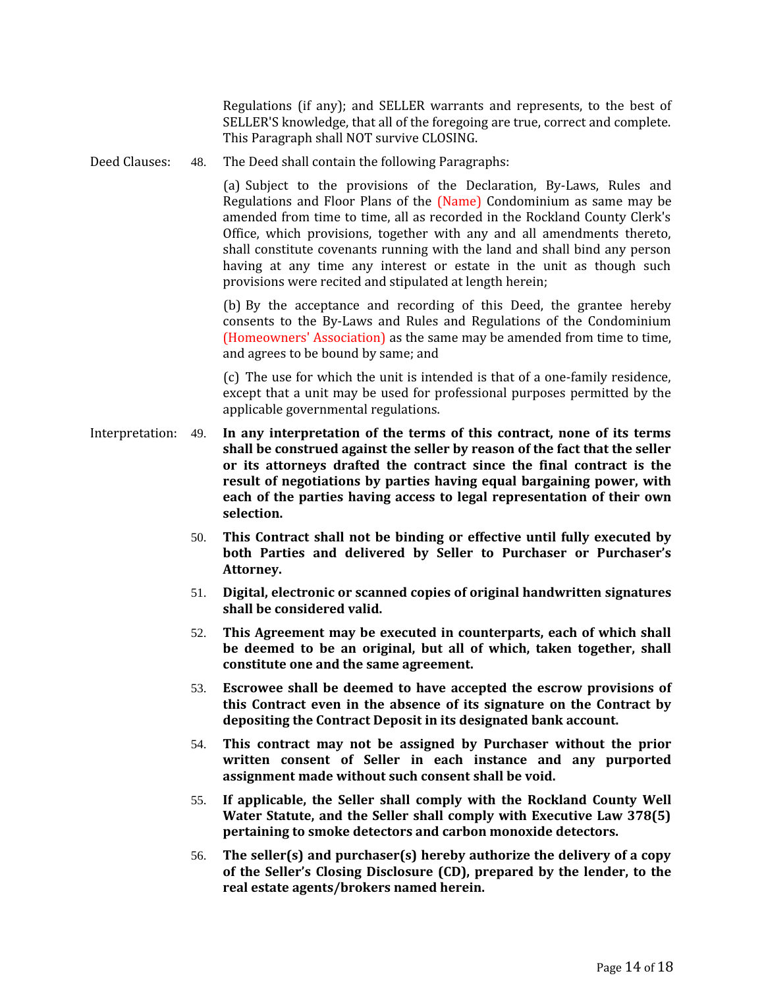Regulations (if any); and SELLER warrants and represents, to the best of SELLER'S knowledge, that all of the foregoing are true, correct and complete. This Paragraph shall NOT survive CLOSING.

Deed Clauses: 48. The Deed shall contain the following Paragraphs:

(a) Subject to the provisions of the Declaration, By-Laws, Rules and Regulations and Floor Plans of the (Name) Condominium as same may be amended from time to time, all as recorded in the Rockland County Clerk's Office, which provisions, together with any and all amendments thereto, shall constitute covenants running with the land and shall bind any person having at any time any interest or estate in the unit as though such provisions were recited and stipulated at length herein;

(b) By the acceptance and recording of this Deed, the grantee hereby consents to the By-Laws and Rules and Regulations of the Condominium (Homeowners' Association) as the same may be amended from time to time, and agrees to be bound by same; and

(c) The use for which the unit is intended is that of a one-family residence, except that a unit may be used for professional purposes permitted by the applicable governmental regulations.

- Interpretation: 49. **In any interpretation of the terms of this contract, none of its terms shall be construed against the seller by reason of the fact that the seller or its attorneys drafted the contract since the final contract is the result of negotiations by parties having equal bargaining power, with each of the parties having access to legal representation of their own selection.**
	- 50. **This Contract shall not be binding or effective until fully executed by both Parties and delivered by Seller to Purchaser or Purchaser's Attorney.**
	- 51. **Digital, electronic or scanned copies of original handwritten signatures shall be considered valid.**
	- 52. **This Agreement may be executed in counterparts, each of which shall be deemed to be an original, but all of which, taken together, shall constitute one and the same agreement.**
	- 53. **Escrowee shall be deemed to have accepted the escrow provisions of this Contract even in the absence of its signature on the Contract by depositing the Contract Deposit in its designated bank account.**
	- 54. **This contract may not be assigned by Purchaser without the prior written consent of Seller in each instance and any purported assignment made without such consent shall be void.**
	- 55. **If applicable, the Seller shall comply with the Rockland County Well Water Statute, and the Seller shall comply with Executive Law 378(5) pertaining to smoke detectors and carbon monoxide detectors.**
	- 56. **The seller(s) and purchaser(s) hereby authorize the delivery of a copy of the Seller's Closing Disclosure (CD), prepared by the lender, to the real estate agents/brokers named herein.**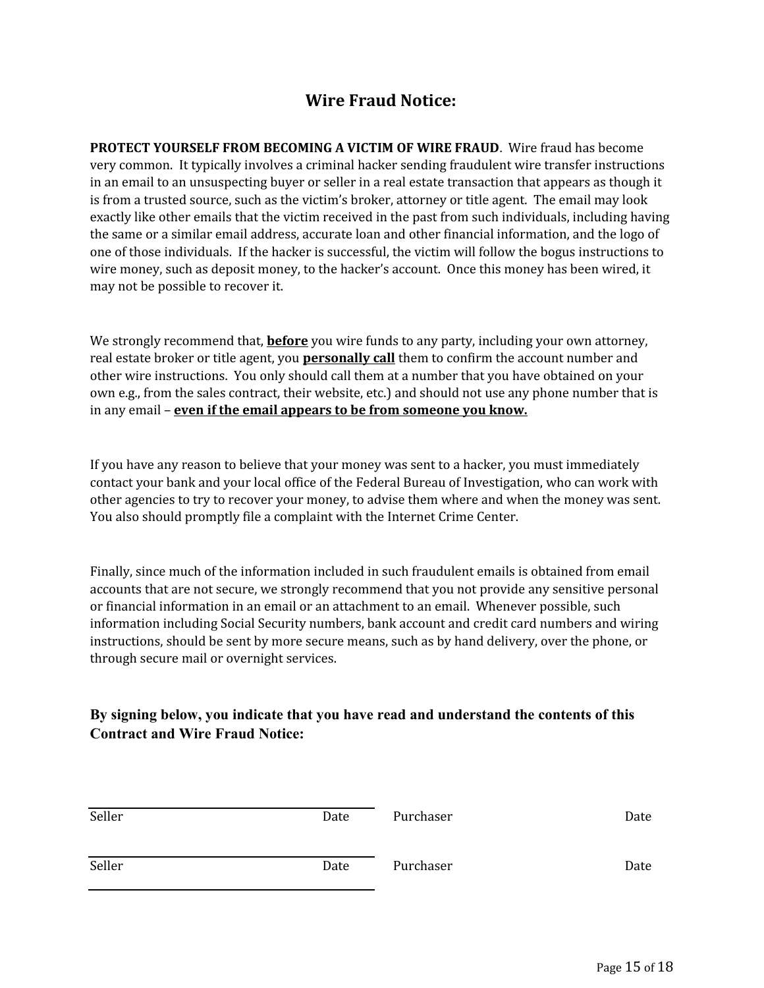# **Wire Fraud Notice:**

**PROTECT YOURSELF FROM BECOMING A VICTIM OF WIRE FRAUD**. Wire fraud has become very common. It typically involves a criminal hacker sending fraudulent wire transfer instructions in an email to an unsuspecting buyer or seller in a real estate transaction that appears as though it is from a trusted source, such as the victim's broker, attorney or title agent. The email may look exactly like other emails that the victim received in the past from such individuals, including having the same or a similar email address, accurate loan and other financial information, and the logo of one of those individuals. If the hacker is successful, the victim will follow the bogus instructions to wire money, such as deposit money, to the hacker's account. Once this money has been wired, it may not be possible to recover it.

We strongly recommend that, **before** you wire funds to any party, including your own attorney, real estate broker or title agent, you **personally call** them to confirm the account number and other wire instructions. You only should call them at a number that you have obtained on your own e.g., from the sales contract, their website, etc.) and should not use any phone number that is in any email – **even if the email appears to be from someone you know.**

If you have any reason to believe that your money was sent to a hacker, you must immediately contact your bank and your local office of the Federal Bureau of Investigation, who can work with other agencies to try to recover your money, to advise them where and when the money was sent. You also should promptly file a complaint with the Internet Crime Center.

Finally, since much of the information included in such fraudulent emails is obtained from email accounts that are not secure, we strongly recommend that you not provide any sensitive personal or financial information in an email or an attachment to an email. Whenever possible, such information including Social Security numbers, bank account and credit card numbers and wiring instructions, should be sent by more secure means, such as by hand delivery, over the phone, or through secure mail or overnight services.

## **By signing below, you indicate that you have read and understand the contents of this Contract and Wire Fraud Notice:**

| Seller | Date | Purchaser | Date |
|--------|------|-----------|------|
| Seller | Date | Purchaser | Date |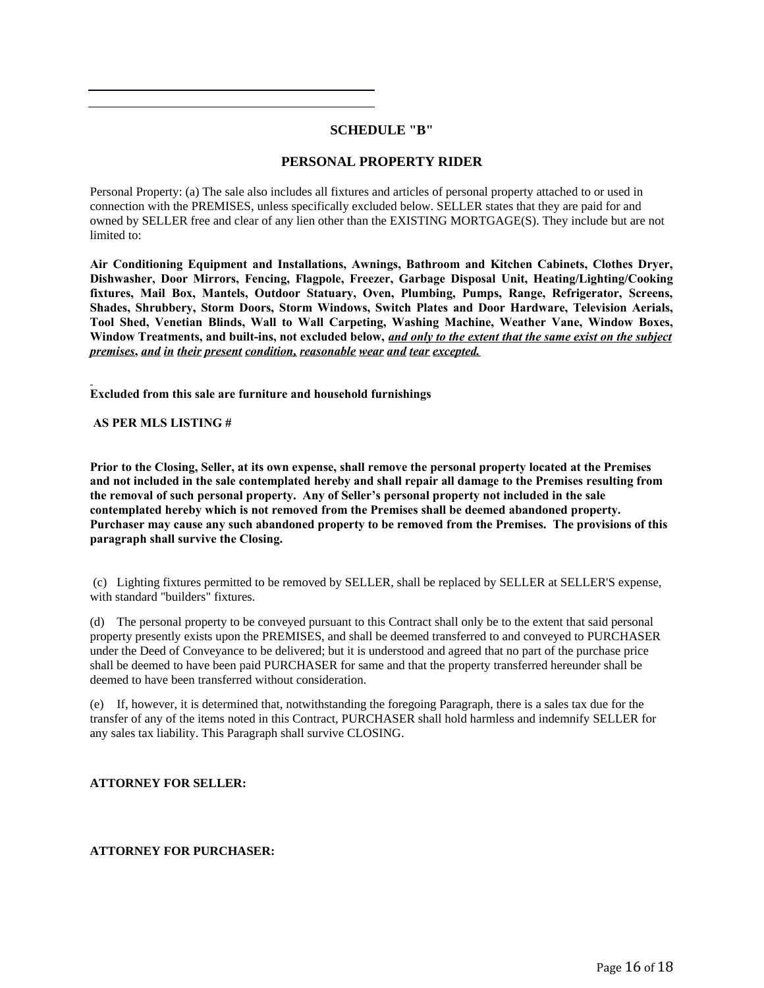#### **SCHEDULE "B"**

#### **PERSONAL PROPERTY RIDER**

Personal Property: (a) The sale also includes all fixtures and articles of personal property attached to or used in connection with the PREMISES, unless specifically excluded below. SELLER states that they are paid for and owned by SELLER free and clear of any lien other than the EXISTING MORTGAGE(S). They include but are not limited to:

**Air Conditioning Equipment and Installations, Awnings, Bathroom and Kitchen Cabinets, Clothes Dryer, Dishwasher, Door Mirrors, Fencing, Flagpole, Freezer, Garbage Disposal Unit, Heating/Lighting/Cooking fixtures, Mail Box, Mantels, Outdoor Statuary, Oven, Plumbing, Pumps, Range, Refrigerator, Screens, Shades, Shrubbery, Storm Doors, Storm Windows, Switch Plates and Door Hardware, Television Aerials, Tool Shed, Venetian Blinds, Wall to Wall Carpeting, Washing Machine, Weather Vane, Window Boxes, Window Treatments, and built-ins, not excluded below,** *and only to the extent that the same exist on the subject premises***,** *and in their present condition, reasonable wear and tear excepted.* 

**Excluded from this sale are furniture and household furnishings**

#### **AS PER MLS LISTING #**

**Prior to the Closing, Seller, at its own expense, shall remove the personal property located at the Premises and not included in the sale contemplated hereby and shall repair all damage to the Premises resulting from the removal of such personal property. Any of Seller's personal property not included in the sale contemplated hereby which is not removed from the Premises shall be deemed abandoned property. Purchaser may cause any such abandoned property to be removed from the Premises. The provisions of this paragraph shall survive the Closing.**

 (c) Lighting fixtures permitted to be removed by SELLER, shall be replaced by SELLER at SELLER'S expense, with standard "builders" fixtures.

(d) The personal property to be conveyed pursuant to this Contract shall only be to the extent that said personal property presently exists upon the PREMISES, and shall be deemed transferred to and conveyed to PURCHASER under the Deed of Conveyance to be delivered; but it is understood and agreed that no part of the purchase price shall be deemed to have been paid PURCHASER for same and that the property transferred hereunder shall be deemed to have been transferred without consideration.

(e) If, however, it is determined that, notwithstanding the foregoing Paragraph, there is a sales tax due for the transfer of any of the items noted in this Contract, PURCHASER shall hold harmless and indemnify SELLER for any sales tax liability. This Paragraph shall survive CLOSING.

#### **ATTORNEY FOR SELLER:**

#### **ATTORNEY FOR PURCHASER:**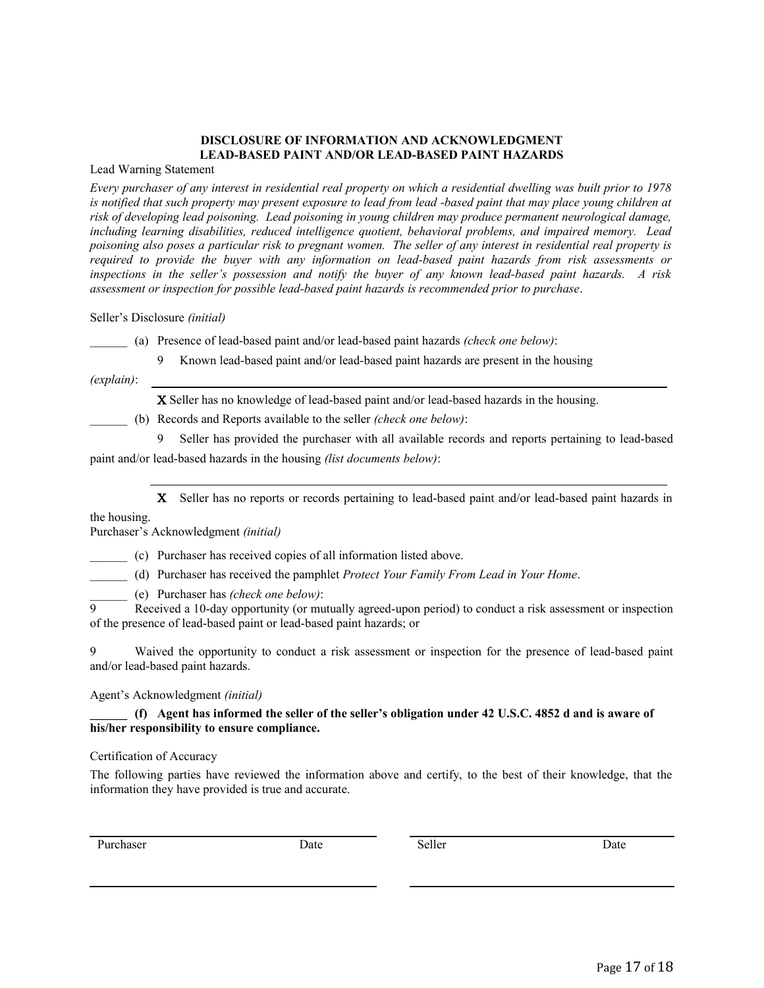#### **DISCLOSURE OF INFORMATION AND ACKNOWLEDGMENT LEAD-BASED PAINT AND/OR LEAD-BASED PAINT HAZARDS**

Lead Warning Statement

*Every purchaser of any interest in residential real property on which a residential dwelling was built prior to 1978 is notified that such property may present exposure to lead from lead -based paint that may place young children at risk of developing lead poisoning. Lead poisoning in young children may produce permanent neurological damage, including learning disabilities, reduced intelligence quotient, behavioral problems, and impaired memory. Lead poisoning also poses a particular risk to pregnant women. The seller of any interest in residential real property is required to provide the buyer with any information on lead-based paint hazards from risk assessments or inspections in the seller's possession and notify the buyer of any known lead-based paint hazards. A risk assessment or inspection for possible lead-based paint hazards is recommended prior to purchase*.

Seller's Disclosure *(initial)*

\_\_\_\_\_\_ (a) Presence of lead-based paint and/or lead-based paint hazards *(check one below)*:

Known lead-based paint and/or lead-based paint hazards are present in the housing

*(explain)*:

Seller has no knowledge of lead-based paint and/or lead-based hazards in the housing.

\_\_\_\_\_\_ (b) Records and Reports available to the seller *(check one below)*:

 Seller has provided the purchaser with all available records and reports pertaining to lead-based paint and/or lead-based hazards in the housing *(list documents below)*:

X Seller has no reports or records pertaining to lead-based paint and/or lead-based paint hazards in

the housing.

Purchaser's Acknowledgment *(initial)*

\_\_\_\_\_\_ (c) Purchaser has received copies of all information listed above.

\_\_\_\_\_\_ (d) Purchaser has received the pamphlet *Protect Your Family From Lead in Your Home*.

\_\_\_\_\_\_ (e) Purchaser has *(check one below)*:

 Received a 10-day opportunity (or mutually agreed-upon period) to conduct a risk assessment or inspection of the presence of lead-based paint or lead-based paint hazards; or

 Waived the opportunity to conduct a risk assessment or inspection for the presence of lead-based paint and/or lead-based paint hazards.

Agent's Acknowledgment *(initial)*

#### **\_\_\_\_\_\_ (f) Agent has informed the seller of the seller's obligation under 42 U.S.C. 4852 d and is aware of his/her responsibility to ensure compliance.**

Certification of Accuracy

The following parties have reviewed the information above and certify, to the best of their knowledge, that the information they have provided is true and accurate.

Purchaser Date Date Seller Seller Date